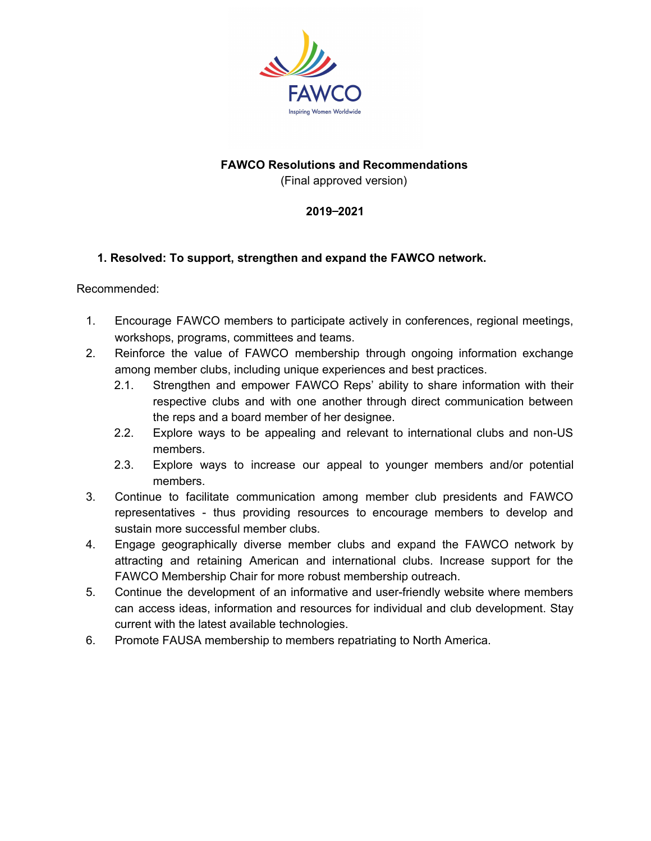

## **FAWCO Resolutions and Recommendations**

(Final approved version)

### **2019**‒**2021**

### **1. Resolved: To support, strengthen and expand the FAWCO network.**

- 1. Encourage FAWCO members to participate actively in conferences, regional meetings, workshops, programs, committees and teams.
- 2. Reinforce the value of FAWCO membership through ongoing information exchange among member clubs, including unique experiences and best practices.
	- 2.1. Strengthen and empower FAWCO Reps' ability to share information with their respective clubs and with one another through direct communication between the reps and a board member of her designee.
	- 2.2. Explore ways to be appealing and relevant to international clubs and non-US members.
	- 2.3. Explore ways to increase our appeal to younger members and/or potential members.
- 3. Continue to facilitate communication among member club presidents and FAWCO representatives - thus providing resources to encourage members to develop and sustain more successful member clubs.
- 4. Engage geographically diverse member clubs and expand the FAWCO network by attracting and retaining American and international clubs. Increase support for the FAWCO Membership Chair for more robust membership outreach.
- 5. Continue the development of an informative and user-friendly website where members can access ideas, information and resources for individual and club development. Stay current with the latest available technologies.
- 6. Promote FAUSA membership to members repatriating to North America.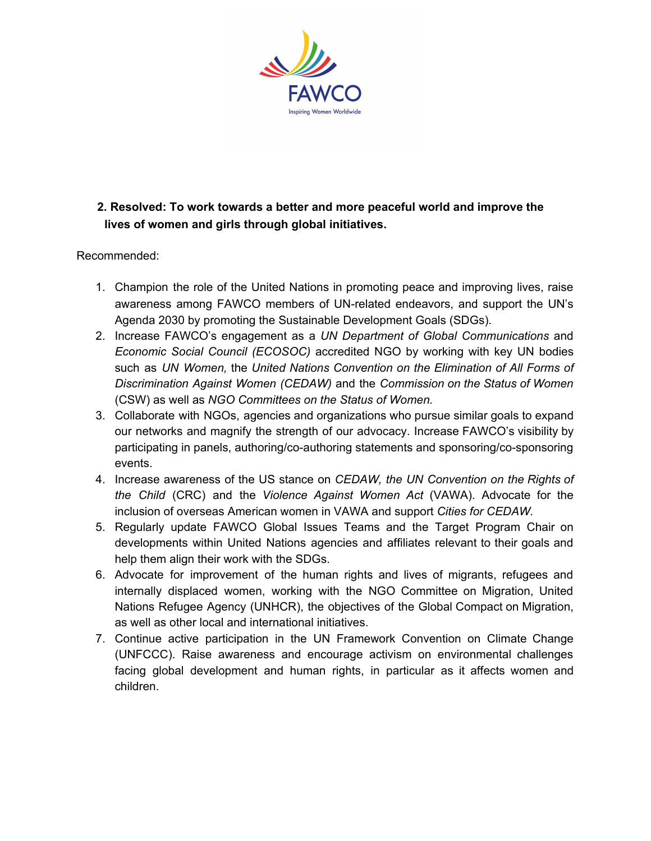

# **2. Resolved: To work towards a better and more peaceful world and improve the lives of women and girls through global initiatives.**

- 1. Champion the role of the United Nations in promoting peace and improving lives, raise awareness among FAWCO members of UN-related endeavors, and support the UN's Agenda 2030 by promoting the Sustainable Development Goals (SDGs).
- 2. Increase FAWCO's engagement as a *UN Department of Global Communications* and *Economic Social Council (ECOSOC)* accredited NGO by working with key UN bodies such as *UN Women,* the *United Nations Convention on the Elimination of All Forms of Discrimination Against Women (CEDAW)* and the *Commission on the Status of Women* (CSW) as well as *NGO Committees on the Status of Women.*
- 3. Collaborate with NGOs, agencies and organizations who pursue similar goals to expand our networks and magnify the strength of our advocacy. Increase FAWCO's visibility by participating in panels, authoring/co-authoring statements and sponsoring/co-sponsoring events.
- 4. Increase awareness of the US stance on *CEDAW, the UN Convention on the Rights of the Child* (CRC) and the *Violence Against Women Act* (VAWA). Advocate for the inclusion of overseas American women in VAWA and support *Cities for CEDAW.*
- 5. Regularly update FAWCO Global Issues Teams and the Target Program Chair on developments within United Nations agencies and affiliates relevant to their goals and help them align their work with the SDGs.
- 6. Advocate for improvement of the human rights and lives of migrants, refugees and internally displaced women, working with the NGO Committee on Migration, United Nations Refugee Agency (UNHCR), the objectives of the Global Compact on Migration, as well as other local and international initiatives.
- 7. Continue active participation in the UN Framework Convention on Climate Change (UNFCCC). Raise awareness and encourage activism on environmental challenges facing global development and human rights, in particular as it affects women and children.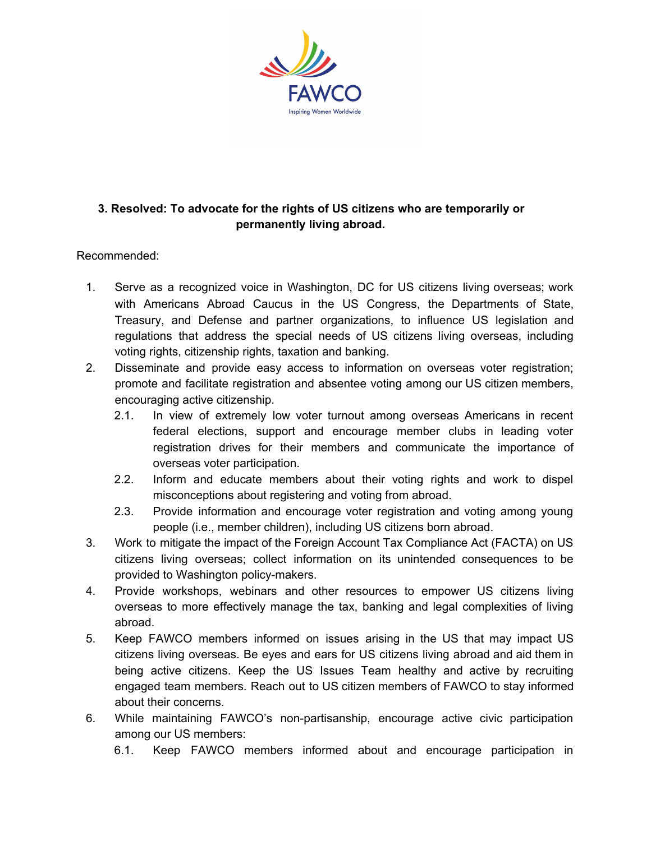

## **3. Resolved: To advocate for the rights of US citizens who are temporarily or permanently living abroad.**

- 1. Serve as a recognized voice in Washington, DC for US citizens living overseas; work with Americans Abroad Caucus in the US Congress, the Departments of State, Treasury, and Defense and partner organizations, to influence US legislation and regulations that address the special needs of US citizens living overseas, including voting rights, citizenship rights, taxation and banking.
- 2. Disseminate and provide easy access to information on overseas voter registration; promote and facilitate registration and absentee voting among our US citizen members, encouraging active citizenship.
	- 2.1. In view of extremely low voter turnout among overseas Americans in recent federal elections, support and encourage member clubs in leading voter registration drives for their members and communicate the importance of overseas voter participation.
	- 2.2. Inform and educate members about their voting rights and work to dispel misconceptions about registering and voting from abroad.
	- 2.3. Provide information and encourage voter registration and voting among young people (i.e., member children), including US citizens born abroad.
- 3. Work to mitigate the impact of the Foreign Account Tax Compliance Act (FACTA) on US citizens living overseas; collect information on its unintended consequences to be provided to Washington policy-makers.
- 4. Provide workshops, webinars and other resources to empower US citizens living overseas to more effectively manage the tax, banking and legal complexities of living abroad.
- 5. Keep FAWCO members informed on issues arising in the US that may impact US citizens living overseas. Be eyes and ears for US citizens living abroad and aid them in being active citizens. Keep the US Issues Team healthy and active by recruiting engaged team members. Reach out to US citizen members of FAWCO to stay informed about their concerns.
- 6. While maintaining FAWCO's non-partisanship, encourage active civic participation among our US members:
	- 6.1. Keep FAWCO members informed about and encourage participation in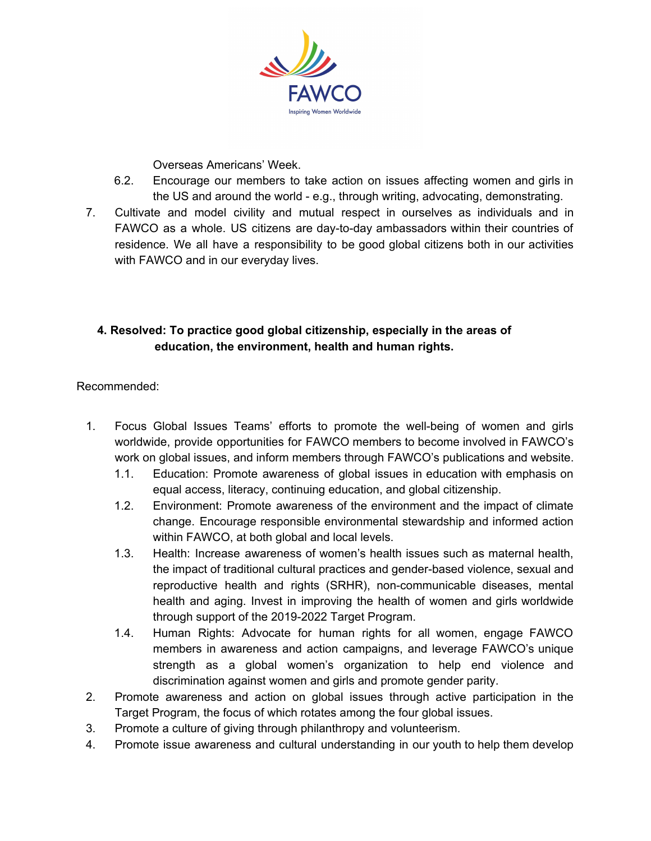

Overseas Americans' Week.

- 6.2. Encourage our members to take action on issues affecting women and girls in the US and around the world - e.g., through writing, advocating, demonstrating.
- 7. Cultivate and model civility and mutual respect in ourselves as individuals and in FAWCO as a whole. US citizens are day-to-day ambassadors within their countries of residence. We all have a responsibility to be good global citizens both in our activities with FAWCO and in our everyday lives.

## **4. Resolved: To practice good global citizenship, especially in the areas of education, the environment, health and human rights.**

- 1. Focus Global Issues Teams' efforts to promote the well-being of women and girls worldwide, provide opportunities for FAWCO members to become involved in FAWCO's work on global issues, and inform members through FAWCO's publications and website.
	- 1.1. Education: Promote awareness of global issues in education with emphasis on equal access, literacy, continuing education, and global citizenship.
	- 1.2. Environment: Promote awareness of the environment and the impact of climate change. Encourage responsible environmental stewardship and informed action within FAWCO, at both global and local levels.
	- 1.3. Health: Increase awareness of women's health issues such as maternal health, the impact of traditional cultural practices and gender-based violence, sexual and reproductive health and rights (SRHR), non-communicable diseases, mental health and aging. Invest in improving the health of women and girls worldwide through support of the 2019-2022 Target Program.
	- 1.4. Human Rights: Advocate for human rights for all women, engage FAWCO members in awareness and action campaigns, and leverage FAWCO's unique strength as a global women's organization to help end violence and discrimination against women and girls and promote gender parity.
- 2. Promote awareness and action on global issues through active participation in the Target Program, the focus of which rotates among the four global issues.
- 3. Promote a culture of giving through philanthropy and volunteerism.
- 4. Promote issue awareness and cultural understanding in our youth to help them develop